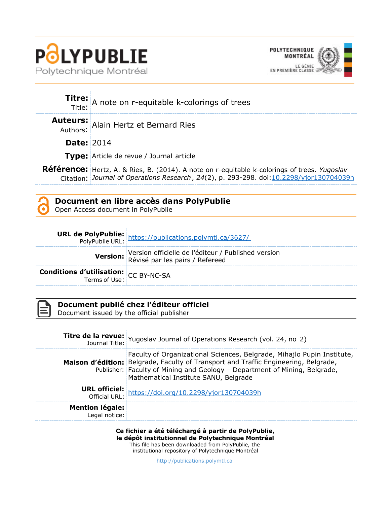



|                   | Titre: A note on r-equitable k-colorings of trees                                                                                                                                               |  |
|-------------------|-------------------------------------------------------------------------------------------------------------------------------------------------------------------------------------------------|--|
|                   | <b>Auteurs:</b> Alain Hertz et Bernard Ries                                                                                                                                                     |  |
| <b>Date: 2014</b> |                                                                                                                                                                                                 |  |
|                   | <b>Type:</b> Article de revue / Journal article                                                                                                                                                 |  |
|                   | <b>Référence:</b> Hertz, A. & Ries, B. (2014). A note on r-equitable k-colorings of trees. Yugoslav<br>Citation: Journal of Operations Research, 24(2), p. 293-298. doi: 10.2298/yjor130704039h |  |



Open Access document in PolyPublie

|                                                | <b>URL de PolyPublie:</b> https://publications.polymtl.ca/3627/<br>PolyPublie URL: https://publications.polymtl.ca/3627/ |
|------------------------------------------------|--------------------------------------------------------------------------------------------------------------------------|
|                                                | Version officielle de l'éditeur / Published version<br>Révisé par les pairs / Refereed                                   |
| <b>Conditions d'utilisation:</b> $CC$ BY-NC-SA |                                                                                                                          |



# **Document publié chez l'éditeur officiel**

Document issued by the official publisher

|                                         | <b>Titre de la revue:</b> Yugoslav Journal of Operations Research (vol. 24, no 2)<br>Journal Title: Yugoslav Journal of Operations Research (vol. 24, no 2)                                                                                                                          |
|-----------------------------------------|--------------------------------------------------------------------------------------------------------------------------------------------------------------------------------------------------------------------------------------------------------------------------------------|
|                                         | Faculty of Organizational Sciences, Belgrade, Mihajlo Pupin Institute,<br>Maison d'édition: Belgrade, Faculty of Transport and Traffic Engineering, Belgrade,<br>Publisher: Faculty of Mining and Geology - Department of Mining, Belgrade,<br>Mathematical Institute SANU, Belgrade |
|                                         | <b>URL officiel:</b><br>Official URL: https://doi.org/10.2298/yjor130704039h                                                                                                                                                                                                         |
| <b>Mention légale:</b><br>Legal notice: |                                                                                                                                                                                                                                                                                      |

**Ce fichier a été téléchargé à partir de PolyPublie, le dépôt institutionnel de Polytechnique Montréal** This file has been downloaded from PolyPublie, the institutional repository of Polytechnique Montréal

[http://publications.polymtl.ca](http://publications.polymtl.ca/)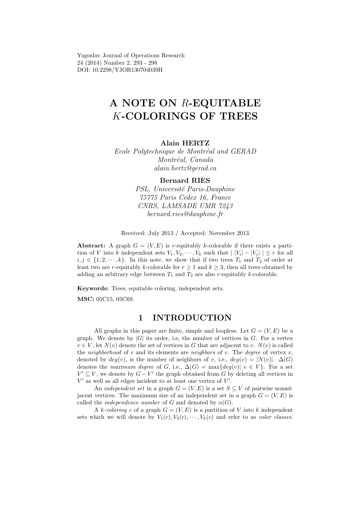Yugoslav Journal of Operations Research 24 (2014) Number 2, 293 - 298 DOI: 10.2298/YJOR130704039H

# A NOTE ON R-EQUITABLE K-COLORINGS OF TREES

### Alain HERTZ

Ecole Polytechnique de Montréal and GERAD Montréal, Canada alain.hertz@gerad.ca

#### Bernard RIES

PSL, Université Paris-Dauphine 75775 Paris Cedex 16, France CNRS, LAMSADE UMR 7243 bernard.ries@dauphine.fr

Received: July 2013 / Accepted: November 2013

Abstract: A graph  $G = (V, E)$  is r-equitably k-colorable if there exists a partition of V into k independent sets  $V_1, V_2, \dots, V_k$  such that  $|V_i| - |V_j| | \leq r$  for all  $i, j \in \{1, 2, \dots, k\}$ . In this note, we show that if two trees  $T_1$  and  $T_2$  of order at least two are r-equitably k-colorable for  $r \geq 1$  and  $k \geq 3$ , then all trees obtained by adding an arbitrary edge between  $T_1$  and  $T_2$  are also r-equitably k-colorable.

Keywords: Trees, equitable coloring, independent sets.

MSC: 05C15, 05C69.

## 1 INTRODUCTION

All graphs in this paper are finite, simple and loopless. Let  $G = (V, E)$  be a graph. We denote by  $|G|$  its order, i.e, the number of vertices in G. For a vertex  $v \in V$ , let  $N(v)$  denote the set of vertices in G that are adjacent to v.  $N(v)$  is called the neighborhood of v and its elements are neighbors of v. The degree of vertex v, denoted by  $deg(v)$ , is the number of neighbors of v, i.e.,  $deg(v) = |N(v)|$ .  $\Delta(G)$ denotes the maximum degree of G, i.e.,  $\Delta(G) = \max\{deg(v) | v \in V\}$ . For a set  $V' \subseteq V$ , we denote by  $G - V'$  the graph obtained from G by deleting all vertices in  $V'$  as well as all edges incident to at least one vertex of  $V'$ .

An *independent set* in a graph  $G = (V, E)$  is a set  $S \subseteq V$  of pairwise nonadjacent vertices. The maximum size of an independent set in a graph  $G = (V, E)$  is called the *independence number* of G and denoted by  $\alpha(G)$ .

A k-coloring c of a graph  $G = (V, E)$  is a partition of V into k independent sets which we will denote by  $V_1(c), V_2(c), \cdots, V_k(c)$  and refer to as *color classes*.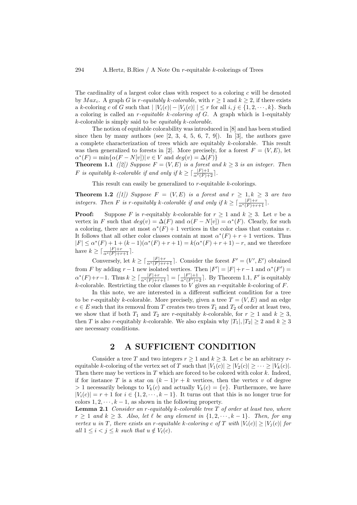The cardinality of a largest color class with respect to a coloring  $c$  will be denoted by  $Max_c$ . A graph G is r-equitably k-colorable, with  $r \ge 1$  and  $k \ge 2$ , if there exists a k-coloring c of G such that  $|V_i(c)| - |V_j(c)| \leq r$  for all  $i, j \in \{1, 2, \dots, k\}$ . Such a coloring is called an  $r$ -equitable k-coloring of  $G$ . A graph which is 1-equitably k-colorable is simply said to be equitably k-colorable.

The notion of equitable colorability was introduced in [8] and has been studied since then by many authors (see  $[2, 3, 4, 5, 6, 7, 9]$ ). In  $[3]$ , the authors gave a complete characterization of trees which are equitably k-colorable. This result was then generalized to forests in [2]. More precisely, for a forest  $F = (V, E)$ , let  $\alpha^*(F) = \min{\alpha(F - N[v]) | v \in V \text{ and } deg(v) = \Delta(F)}$ 

**Theorem 1.1** ([2]) Suppose  $F = (V, E)$  is a forest and  $k \geq 3$  is an integer. Then F is equitably k-colorable if and only if  $k \geq \lceil \frac{|F|+1}{\alpha^*(F)+2} \rceil$ .

This result can easily be generalized to  $r$ -equitable  $k$ -colorings.

**Theorem 1.2** ([1]) Suppose  $F = (V, E)$  is a forest and  $r \geq 1, k \geq 3$  are two integers. Then F is r-equitably k-colorable if and only if  $k \geq \lceil \frac{|F|+r}{\alpha^*(F)+r+1} \rceil$ .

**Proof:** Suppose F is r-equitably k-colorable for  $r \ge 1$  and  $k \ge 3$ . Let v be a vertex in F such that  $deg(v) = \Delta(F)$  and  $\alpha(F - N[v]) = \alpha^*(F)$ . Clearly, for such a coloring, there are at most  $\alpha^*(F) + 1$  vertices in the color class that contains v. It follows that all other color classes contain at most  $\alpha^*(F) + r + 1$  vertices. Thus  $|F| \le \alpha^*(F) + 1 + (k-1)(\alpha^*(F) + r + 1) = k(\alpha^*(F) + r + 1) - r$ , and we therefore have  $k \geq \lceil \frac{|F|+r}{\alpha^*(F)+r+1} \rceil$ .

Conversely, let  $k \geq \lceil \frac{|F|+r}{\alpha^*(F)+r+1} \rceil$ . Consider the forest  $F' = (V', E')$  obtained from F by adding  $r-1$  new isolated vertices. Then  $|F'| = |F| + r - 1$  and  $\alpha^*(F') =$  $\alpha^*(F)+r-1$ . Thus  $k\geq \lceil \frac{|F|+r}{\alpha^*(F)+r+1} \rceil = \lceil \frac{|F'|+1}{\alpha^*(F')+2} \rceil$ . By Theorem 1.1,  $F'$  is equitably k-colorable. Restricting the color classes to V gives an r-equitable k-coloring of  $F$ .

In this note, we are interested in a different sufficient condition for a tree to be r-equitably k-colorable. More precisely, given a tree  $T = (V, E)$  and an edge  $e \in E$  such that its removal from T creates two trees  $T_1$  and  $T_2$  of order at least two, we show that if both  $T_1$  and  $T_2$  are r-equitably k-colorable, for  $r \geq 1$  and  $k \geq 3$ , then T is also r-equitably k-colorable. We also explain why  $|T_1|, |T_2| \geq 2$  and  $k \geq 3$ are necessary conditions.

# 2 A SUFFICIENT CONDITION

Consider a tree T and two integers  $r \geq 1$  and  $k \geq 3$ . Let c be an arbitrary requitable k-coloring of the vertex set of T such that  $|V_1(c)| \ge |V_2(c)| \ge \cdots \ge |V_k(c)|$ . Then there may be vertices in  $T$  which are forced to be colored with color  $k$ . Indeed, if for instance T is a star on  $(k-1)r + k$  vertices, then the vertex v of degree > 1 necessarily belongs to  $V_k(c)$  and actually  $V_k(c) = \{v\}$ . Furthermore, we have  $|V_i(c)| = r + 1$  for  $i \in \{1, 2, \dots, k-1\}$ . It turns out that this is no longer true for colors  $1, 2, \dots, k-1$ , as shown in the following property.

**Lemma 2.1** Consider an r-equitably k-colorable tree  $T$  of order at least two, where  $r \geq 1$  and  $k \geq 3$ . Also, let  $\ell$  be any element in  $\{1, 2, \dots, k-1\}$ . Then, for any vertex u in T, there exists an r-equitable k-coloring c of T with  $|V_i(c)| \geq |V_i(c)|$  for all  $1 \leq i \leq j \leq k$  such that  $u \notin V_{\ell}(c)$ .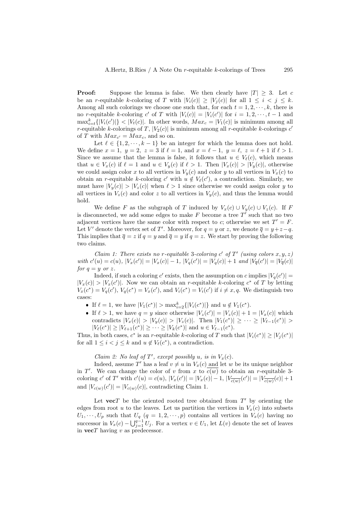**Proof:** Suppose the lemma is false. We then clearly have  $|T| \geq 3$ . Let c be an r-equitable k-coloring of T with  $|V_i(c)| \geq |V_i(c)|$  for all  $1 \leq i \leq j \leq k$ . Among all such colorings we choose one such that, for each  $t = 1, 2, \dots, k$ , there is no r-equitable k-coloring c' of T with  $|V_i(c)| = |V_i(c')|$  for  $i = 1, 2, \dots, t - 1$  and  $\max_{i=t}^k \{|V_i(c')|\} < |V_t(c)|$ . In other words,  $Max_c = |V_1(c)|$  is minimum among all r-equitable k-colorings of T,  $|V_2(c)|$  is mininum among all r-equitable k-colorings c' of T with  $Max_{c'} = Max_c$ , and so on.

Let  $\ell \in \{1, 2, \dots, k-1\}$  be an integer for which the lemma does not hold. We define  $x = 1$ ,  $y = 2$ ,  $z = 3$  if  $\ell = 1$ , and  $x = \ell - 1$ ,  $y = \ell$ ,  $z = \ell + 1$  if  $\ell > 1$ . Since we assume that the lemma is false, it follows that  $u \in V_{\ell}(c)$ , which means that  $u \in V_x(c)$  if  $\ell = 1$  and  $u \in V_y(c)$  if  $\ell > 1$ . Then  $|V_x(c)| > |V_y(c)|$ , otherwise we could assign color x to all vertices in  $V_y(c)$  and color y to all vertices in  $V_x(c)$  to obtain an r-equitable k-coloring c' with  $u \notin V_{\ell}(c')$ , a contradiction. Similarly, we must have  $|V_y(c)| > |V_z(c)|$  when  $\ell > 1$  since otherwise we could assign color y to all vertices in  $V_z(c)$  and color z to all vertices in  $V_y(c)$ , and thus the lemma would hold.

We define F as the subgraph of T induced by  $V_x(c) \cup V_y(c) \cup V_z(c)$ . If F is disconnected, we add some edges to make  $F$  become a tree  $T'$  such that no two adjacent vertices have the same color with respect to c; otherwise we set  $T' = F$ . Let V' denote the vertex set of T'. Moreover, for  $q = y$  or z, we denote  $\overline{q} = y + z - q$ . This implies that  $\overline{q} = z$  if  $q = y$  and  $\overline{q} = y$  if  $q = z$ . We start by proving the following two claims.

Claim 1: There exists no r-equitable 3-coloring c' of T' (using colors  $x, y, z$ ) with  $c'(u) = c(u)$ ,  $|V_x(c')| = |V_x(c)| - 1$ ,  $|V_q(c')| = |V_q(c)| + 1$  and  $|V_{\overline{q}}(c')| = |V_{\overline{q}}(c)|$ for  $q = y$  or z.

Indeed, if such a coloring c' exists, then the assumption on c implies  $|V_q(c')|$  =  $|V_x(c)| > |V_x(c')|$ . Now we can obtain an r-equitable k-coloring  $c^*$  of T by letting  $V_x(c^*) = V_q(c')$ ,  $V_q(c^*) = V_x(c')$ , and  $V_i(c^*) = V_i(c')$  if  $i \neq x, q$ . We distinguish two cases:

- If  $\ell = 1$ , we have  $|V_1(c^*)| > \max_{i=2}^k \{|V_i(c^*)|\}$  and  $u \notin V_1(c^*)$ .
- If  $\ell > 1$ , we have  $q = y$  since otherwise  $|V_z(c')| = |V_z(c)| + 1 = |V_x(c)|$  which contradicts  $|V_x(c)| > |V_y(c)| > |V_z(c)|$ . Then  $|V_1(c^*)| \geq \cdots \geq |V_{\ell-1}(c^*)| >$  $|V_{\ell}(c^*)| \ge |V_{\ell+1}(c^*)| \ge \cdots \ge |V_k(c^*)|$  and  $u \in V_{\ell-1}(c^*)$ .

Thus, in both cases,  $c^*$  is an r-equitable k-coloring of T such that  $|V_i(c^*)| \geq |V_j(c^*)|$ for all  $1 \leq i < j \leq k$  and  $u \notin V_{\ell}(c^*)$ , a contradiction.

Claim 2: No leaf of T', except possibly u, is in  $V_x(c)$ .

Indeed, assume T' has a leaf  $v \neq u$  in  $V_x(c)$  and let w be its unique neighbor in T'. We can change the color of v from x to  $\overline{c(w)}$  to obtain an r-equitable 3coloring c' of T' with  $c'(u) = c(u)$ ,  $|V_x(c')| = |V_x(c)| - 1$ ,  $|V_{\overline{c(w)}}(c')| = |V_{\overline{c(w)}}(c)| + 1$ and  $|V_{c(w)}(c')| = |V_{c(w)}(c)|$ , contradicting Claim 1.

Let  $\mathbf{vec}$  be the oriented rooted tree obtained from  $T'$  by orienting the edges from root u to the leaves. Let us partition the vertices in  $V_x(c)$  into subsets  $U_1, \dots, U_p$  such that  $U_q$   $(q = 1, 2, \dots, p)$  contains all vertices in  $V_x(c)$  having no successor in  $V_x(c) - \bigcup_{j=1}^{q-1} U_j$ . For a vertex  $v \in U_1$ , let  $L(v)$  denote the set of leaves in  $\mathbf{vec}$  having v as predecessor.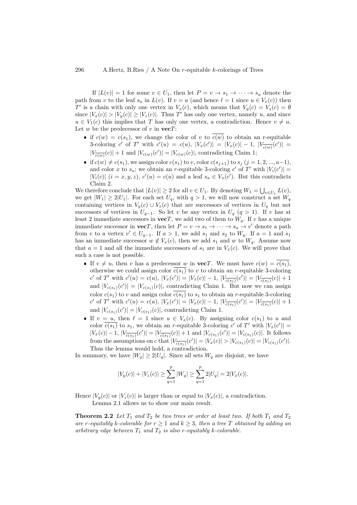If  $|L(v)| = 1$  for some  $v \in U_1$ , then let  $P = v \to s_1 \to \cdots \to s_a$  denote the path from v to the leaf  $s_a$  in  $L(v)$ . If  $v = u$  (and hence  $\ell = 1$  since  $u \in V_x(c)$ ) then T' is a chain with only one vertex in  $V_x(c)$ , which means that  $V_y(c) = V_z(c) = \emptyset$ since  $|V_x(c)| > |V_y(c)| \ge |V_z(c)|$ . Thus T' has only one vertex, namely u, and since  $u \in V_1(c)$  this implies that T has only one vertex, a contradiction. Hence  $v \neq u$ . Let w be the predecessor of v in  $\mathbf{vec}T$ :

- if  $c(w) = c(s_1)$ , we change the color of v to  $\overline{c(w)}$  to obtain an r-equitable 3-coloring c' of T' with  $c'(u) = c(u)$ ,  $|V_x(c')| = |V_x(c)| - 1$ ,  $|V_{\overline{c(w)}}(c')| =$  $|V_{\overline{c(w)}}(c)| + 1$  and  $|V_{c(w)}(c')| = |V_{c(w)}(c)|$ , contradicting Claim 1;
- if  $c(w) \neq c(s_1)$ , we assign color  $c(s_1)$  to v, color  $c(s_{j+1})$  to  $s_j$   $(j = 1, 2, ..., a-1)$ , and color x to  $s_a$ ; we obtain an r-equitable 3-coloring c' of T' with  $|V_i(c')|$  =  $|V_i(c)|$   $(i = x, y, z)$ ,  $c'(u) = c(u)$  and a leaf  $s_a \in V_x(c')$ . But this contradicts Claim 2.

We therefore conclude that  $|L(v)| \geq 2$  for all  $v \in U_1$ . By denoting  $W_1 = \bigcup_{v \in U_1} L(v)$ , we get  $|W_1| \geq 2|U_1|$ . For each set  $U_q$ , with  $q > 1$ , we will now construct a set  $W_q$ containing vertices in  $V_y(c) \cup V_z(c)$  that are successors of vertices in  $U_q$  but not successors of vertices in  $U_{q-1}$ . So let v be any vertex in  $U_q$  ( $q > 1$ ). If v has at least 2 immediate successors in  $\mathbf{vec}$ , we add two of them to  $W_q$ . If v has a unique immediate successor in  $\mathbf{vec}T$ , then let  $P = v \to s_1 \to \cdots \to s_a \to v'$  denote a path from v to a vertex  $v' \in U_{q-1}$ . If  $a > 1$ , we add  $s_1$  and  $s_2$  to  $W_q$ . If  $a = 1$  and  $s_1$ has an immediate successor  $w \notin V_x(c)$ , then we add  $s_1$  and w to  $W_q$ . Assume now that  $a = 1$  and all the immediate successors of  $s_1$  are in  $V_x(c)$ . We will prove that such a case is not possible.

- If  $v \neq u$ , then v has a predecessor w in **vec**T. We must have  $c(w) = \overline{c(s_1)}$ , otherwise we could assign color  $c(s_1)$  to v to obtain an r-equitable 3-coloring c' of T' with  $c'(u) = c(u)$ ,  $|V_x(c')| = |V_x(c)| - 1$ ,  $|V_{\overline{c(s_1)}}(c')| = |V_{\overline{c(s_1)}}(c)| + 1$ and  $|V_{c(s_1)}(c')| = |V_{c(s_1)}(c)|$ , contradicting Claim 1. But now we can assign color  $c(s_1)$  to v and assign color  $\overline{c(s_1)}$  to  $s_1$  to obtain an r-equitable 3-coloring c' of T' with  $c'(u) = c(u)$ ,  $|V_x(c')| = |V_x(c)| - 1$ ,  $|V_{\overline{c(s_1)}}(c')| = |V_{\overline{c(s_1)}}(c)| + 1$ and  $|V_{c(s_1)}(c')| = |V_{c(s_1)}(c)|$ , contradicting Claim 1.
- If  $v = u$ , then  $\ell = 1$  since  $u \in V_x(c)$ . By assigning color  $c(s_1)$  to u and color  $\overline{c(s_1)}$  to  $s_1$ , we obtain an r-equitable 3-coloring c' of T' with  $|V_x(c')|$  =  $|V_x(c)| - 1$ ,  $|V_{\overline{c(s_1)}}(c')| = |V_{\overline{c(s_1)}}(c)| + 1$  and  $|V_{c(s_1)}(c')| = |V_{c(s_1)}(c)|$ . It follows from the assumptions on c that  $|V_{\overline{c(s_1)}}(c')| = |V_x(c)| > |V_{c(s_1)}(c)| = |V_{c(s_1)}(c')|$ . Thus the lemma would hold, a contradiction.

In summary, we have  $|W_q| \geq 2|U_q|$ . Since all sets  $W_q$  are disjoint, we have

$$
|V_y(c)| + |V_z(c)| \ge \sum_{q=1}^p |W_q| \ge \sum_{q=1}^p 2|U_q| = 2|V_x(c)|.
$$

Hence  $|V_y(c)|$  or  $|V_z(c)|$  is larger than or equal to  $|V_x(c)|$ , a contradiction.

Lemma 2.1 allows us to show our main result.

**Theorem 2.2** Let  $T_1$  and  $T_2$  be two trees or order at least two. If both  $T_1$  and  $T_2$ are r-equitably k-colorable for  $r \geq 1$  and  $k \geq 3$ , then a tree T obtained by adding an arbitrary edge between  $T_1$  and  $T_2$  is also r-equitably k-colorable.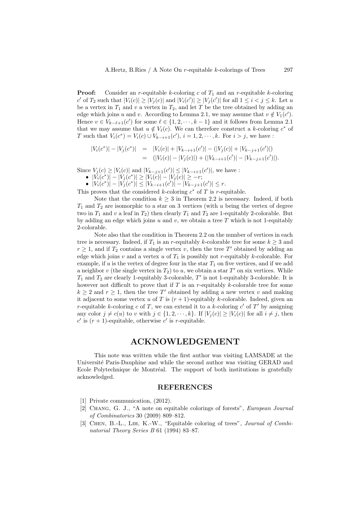**Proof:** Consider an *r*-equitable *k*-coloring c of  $T_1$  and an *r*-equitable *k*-coloring c' of  $T_2$  such that  $|V_i(c)| \geq |V_j(c)|$  and  $|V_i(c')| \geq |V_j(c')|$  for all  $1 \leq i < j \leq k$ . Let u be a vertex in  $T_1$  and v a vertex in  $T_2$ , and let T be the tree obtained by adding an edge which joins u and v. According to Lemma 2.1, we may assume that  $v \notin V_1(c')$ . Hence  $v \in V_{k-\ell+1}(c')$  for some  $\ell \in \{1, 2, \dots, k-1\}$  and it follows from Lemma 2.1 that we may assume that  $u \notin V_{\ell}(c)$ . We can therefore construct a k-coloring  $c^*$  of T such that  $V_i(c^*) = V_i(c) \cup V_{k-i+1}(c'), i = 1, 2, \dots, k.$  For  $i > j$ , we have :

$$
\begin{array}{rcl}\n|V_i(c^*)| - |V_j(c^*)| & = & |V_i(c)| + |V_{k-i+1}(c')| - (|V_j(c)| + |V_{k-j+1}(c')|) \\
& = & (|V_i(c)| - |V_j(c)|) + (|V_{k-i+1}(c')| - |V_{k-j+1}(c')|).\n\end{array}
$$

Since  $V_j(c) \ge |V_i(c)|$  and  $|V_{k-j+1}(c')| \le |V_{k-i+1}(c')|$ , we have :

•  $|V_i(c^*)| = |V_i(c)|$  and  $|V_i(-r)| = |V_i(c)|$ <br>•  $|V_i(c^*)| = |V_j(c)| \ge |V_i(c)| - |V_j(c)| \ge -r;$ 

•  $|V_i(c^*)| - |V_j(c^*)| \le |V_{k-i+1}(c')| - |V_{k-j+1}(c')| \le r$ .

This proves that the considered k-coloring  $c^*$  of T is r-equitable.

Note that the condition  $k \geq 3$  in Theorem 2.2 is necessary. Indeed, if both  $T_1$  and  $T_2$  are isomorphic to a star on 3 vertices (with u being the vertex of degree two in  $T_1$  and v a leaf in  $T_2$ ) then clearly  $T_1$  and  $T_2$  are 1-equitably 2-colorable. But by adding an edge which joins  $u$  and  $v$ , we obtain a tree  $T$  which is not 1-equitably 2-colorable.

Note also that the condition in Theorem 2.2 on the number of vertices in each tree is necessary. Indeed, if  $T_1$  is an r-equitably k-colorable tree for some  $k > 3$  and  $r \geq 1$ , and if  $T_2$  contains a single vertex v, then the tree T' obtained by adding an edge which joins v and a vertex u of  $T_1$  is possibly not r-equitably k-colorable. For example, if u is the vertex of degree four in the star  $T_1$  on five vertices, and if we add a neighbor  $v$  (the single vertex in  $T_2$ ) to  $u$ , we obtain a star  $T'$  on six vertices. While  $T_1$  and  $T_2$  are clearly 1-equitably 3-colorable,  $T'$  is not 1-equitably 3-colorable. It is however not difficult to prove that if  $T$  is an  $r$ -equitably  $k$ -colorable tree for some  $k \geq 2$  and  $r \geq 1$ , then the tree T' obtained by adding a new vertex v and making it adjacent to some vertex u of T is  $(r + 1)$ -equitably k-colorable. Indeed, given an r-equitable k-coloring c of T, we can extend it to a k-coloring  $c'$  of T' by assigning any color  $j \neq c(u)$  to v with  $j \in \{1, 2, \dots, k\}$ . If  $|V_j(c)| \geq |V_i(c)|$  for all  $i \neq j$ , then  $c'$  is  $(r + 1)$ -equitable, otherwise  $c'$  is r-equitable.

## ACKNOWLEDGEMENT

This note was written while the first author was visiting LAMSADE at the Université Paris-Dauphine and while the second author was visiting GERAD and Ecole Polytechnique de Montréal. The support of both institutions is gratefully acknowledged.

#### REFERENCES

- [1] Private communication,  $(2012)$ .
- [2] Chang, G. J., "A note on equitable colorings of forests", European Journal of Combinatorics 30 (2009) 809–812.
- [3] Chen, B.-L., Lih, K.-W., "Equitable coloring of trees", Journal of Combinatorial Theory Series B 61 (1994) 83–87.